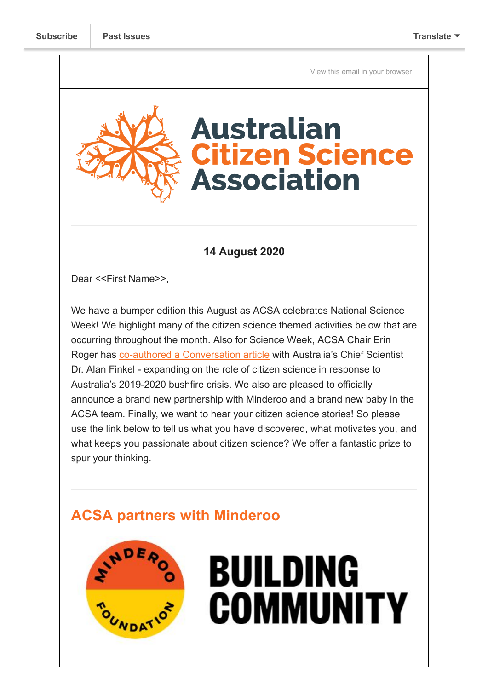[View this email in your browser](https://mailchi.mp/e93c9346ff54/acsa-news-science-week-erin-dr-finkel-on-bushfire-recovery-new-faces-at-acsa-qld?e=[UNIQID])

# **Australian itizen Science Association**

## **14 August 2020**

Dear <<First Name>>,

We have a bumper edition this August as ACSA celebrates National Science Week! We highlight many of the citizen science themed activities below that are occurring throughout the month. Also for Science Week, ACSA Chair Erin Roger has [co-authored a Conversation article](https://theconversation.com/from-kangaroo-island-to-mallacoota-citizen-scientists-proved-vital-to-australias-bushfire-recovery-48230) with Australia's Chief Scientist Dr. Alan Finkel - expanding on the role of citizen science in response to Australia's 2019-2020 bushfire crisis. We also are pleased to officially announce a brand new partnership with Minderoo and a brand new baby in the ACSA team. Finally, we want to hear your citizen science stories! So please use the link below to tell us what you have discovered, what motivates you, and what keeps you passionate about citizen science? We offer a fantastic prize to spur your thinking.

## **ACSA partners with Minderoo**



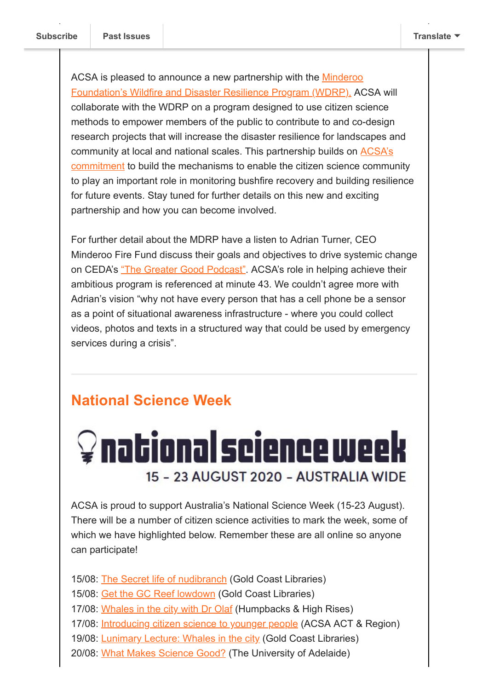[ACSA is pleased to announce a new partnership with the Minderoo](https://www.minderoo.org/fire-fund/wildfire-and-disaster-resilience-program/) Foundation's Wildfire and Disaster Resilience Program (WDRP). ACSA will collaborate with the WDRP on a program designed to use citizen science methods to empower members of the public to contribute to and co-design research projects that will increase the disaster resilience for landscapes and [community at local and national scales. This partnership builds on ACSA's](https://citizenscience.org.au/2020/04/20/australian-citizen-science-association-statement-on-2019-20-bushfires/) commitment to build the mechanisms to enable the citizen science community to play an important role in monitoring bushfire recovery and building resilience for future events. Stay tuned for further details on this new and exciting partnership and how you can become involved.

For further detail about the MDRP have a listen to Adrian Turner, CEO Minderoo Fire Fund discuss their goals and objectives to drive systemic change on CEDA's ["The Greater Good Podcast".](https://anchor.fm/ceda/episodes/The-Greater-Good--Adrian-Turner--CEO--Minderoo-Fire-Fund-ehvr4i) ACSA's role in helping achieve their ambitious program is referenced at minute 43. We couldn't agree more with Adrian's vision "why not have every person that has a cell phone be a sensor as a point of situational awareness infrastructure - where you could collect videos, photos and texts in a structured way that could be used by emergency services during a crisis".

## **National Science Week**

# $\mathcal Q$  national science week 15 - 23 AUGUST 2020 - AUSTRALIA WIDE

ACSA is proud to support Australia's National Science Week (15-23 August). There will be a number of citizen science activities to mark the week, some of which we have highlighted below. Remember these are all online so anyone can participate!

15/08: [The Secret life of nudibranch](https://www.facebook.com/events/633895990561352/) (Gold Coast Libraries)

- 15/08: [Get the GC Reef lowdown](https://www.facebook.com/events/633895990561352/) (Gold Coast Libraries)
- 17/08: [Whales in the city with Dr Olaf](https://www.facebook.com/events/467859223933411/) (Humpbacks & High Rises)
- 17/08: [Introducing citizen science to younger people](https://www.eventbrite.com.au/e/the-science-and-citizens-of-the-coorong-tickets-112550991044) (ACSA ACT & Region)
- 19/08: **[Lunimary Lecture: Whales in the city](https://www.eventbrite.com.au/e/the-science-and-citizens-of-the-coorong-tickets-112550991044) (Gold Coast Libraries)**
- 20/08: [What Makes Science Good?](https://www.eventbrite.com.au/e/the-science-and-citizens-of-the-coorong-tickets-112550991044) (The University of Adelaide)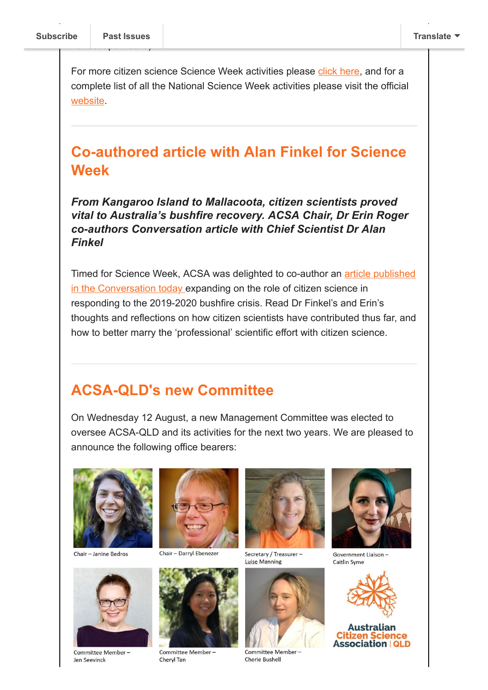$\overline{\phantom{a}}$ 

For more citizen science Science Week activities please [click here,](https://www.scienceweek.net.au/find-events/?location-string=&location-id=&location-postcode=&location-suburb=&location-state=&location-type=&location-lat=&location-lng=&event-type=online&event-list-page=1&keyword=Citizen+Science&date-range=2020-08-15+to+2020-08-23&event-audience=Any+Age&event-free=1) and for a complete list of all the National Science Week activities please visit the official [website](https://www.scienceweek.net.au/).

## **Co-authored article with Alan Finkel for Science Week**

*From Kangaroo Island to Mallacoota, citizen scientists proved vital to Australia's bushfire recovery. ACSA Chair, Dr Erin Roger co-authors Conversation article with Chief Scientist Dr Alan Finkel*

[Timed for Science Week, ACSA was delighted to co-author an article published](https://theconversation.com/from-kangaroo-island-to-mallacoota-citizen-scientists-proved-vital-to-australias-bushfire-recovery-48230) in the Conversation today expanding on the role of citizen science in responding to the 2019-2020 bushfire crisis. Read Dr Finkel's and Erin's thoughts and reflections on how citizen scientists have contributed thus far, and how to better marry the 'professional' scientific effort with citizen science.

## **ACSA-QLD's new Committee**

On Wednesday 12 August, a new Management Committee was elected to oversee ACSA-QLD and its activities for the next two years. We are pleased to announce the following office bearers:



Chair - Janine Bedros



Committee Member-Jen Seevinck



Chair - Darryl Ebenezer



Committee Member-Cheryl Tan



Secretary / Treasurer -Luise Manning



Committee Member-Cherie Bushell



Government Liaison-Caitlin Syme



#### Australian tizen Science **Association | QLD**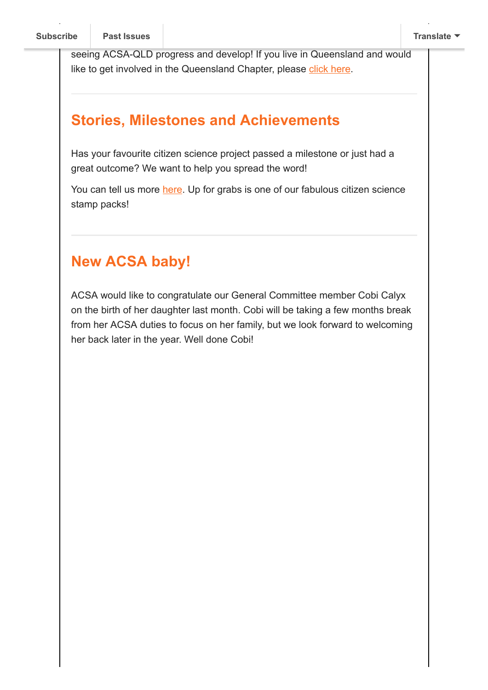seeing ACSA-QLD progress and develop! If you live in Queensland and would like to get involved in the Queensland Chapter, please [click here.](https://citizenscience.org.au/acsa-qld/)

## **Stories, Milestones and Achievements**

Has your favourite citizen science project passed a milestone or just had a great outcome? We want to help you spread the word!

You can tell us more [here.](https://forms.gle/huHohqBCBnhhmBMw8) Up for grabs is one of our fabulous citizen science stamp packs!

## **New ACSA baby!**

ACSA would like to congratulate our General Committee member Cobi Calyx on the birth of her daughter last month. Cobi will be taking a few months break from her ACSA duties to focus on her family, but we look forward to welcoming her back later in the year. Well done Cobi!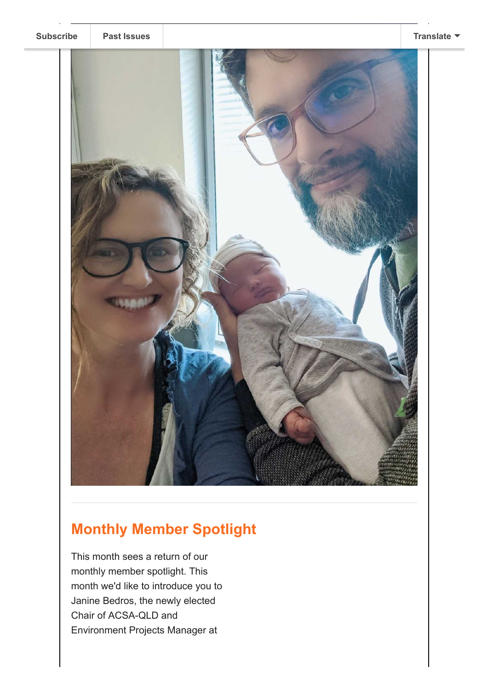

# **Monthly Member Spotlight**

This month sees a return of our monthly member spotlight. This month we'd like to introduce you to Janine Bedros, the newly elected Chair of ACSA-QLD and Environment Projects Manager at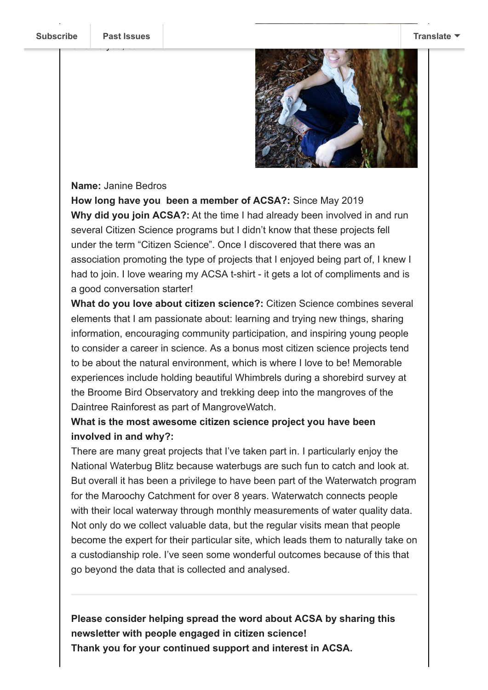Ove[r to you, Janine!](https://us9.campaign-archive.com/home/?u=bf6c4fb11671f5919db89feda&id=40b221ed15) 



### **Name:** Janine Bedros

**How long have you been a member of ACSA?:** Since May 2019 **Why did you join ACSA?:** At the time I had already been involved in and run several Citizen Science programs but I didn't know that these projects fell under the term "Citizen Science". Once I discovered that there was an association promoting the type of projects that I enjoyed being part of, I knew I had to join. I love wearing my ACSA t-shirt - it gets a lot of compliments and is a good conversation starter!

**What do you love about citizen science?:** Citizen Science combines several elements that I am passionate about: learning and trying new things, sharing information, encouraging community participation, and inspiring young people to consider a career in science. As a bonus most citizen science projects tend to be about the natural environment, which is where I love to be! Memorable experiences include holding beautiful Whimbrels during a shorebird survey at the Broome Bird Observatory and trekking deep into the mangroves of the Daintree Rainforest as part of MangroveWatch.

### **What is the most awesome citizen science project you have been involved in and why?:**

There are many great projects that I've taken part in. I particularly enjoy the National Waterbug Blitz because waterbugs are such fun to catch and look at. But overall it has been a privilege to have been part of the Waterwatch program for the Maroochy Catchment for over 8 years. Waterwatch connects people with their local waterway through monthly measurements of water quality data. Not only do we collect valuable data, but the regular visits mean that people become the expert for their particular site, which leads them to naturally take on a custodianship role. I've seen some wonderful outcomes because of this that go beyond the data that is collected and analysed.

**Please consider helping spread the word about ACSA by sharing this newsletter with people engaged in citizen science! Thank you for your continued support and interest in ACSA.**